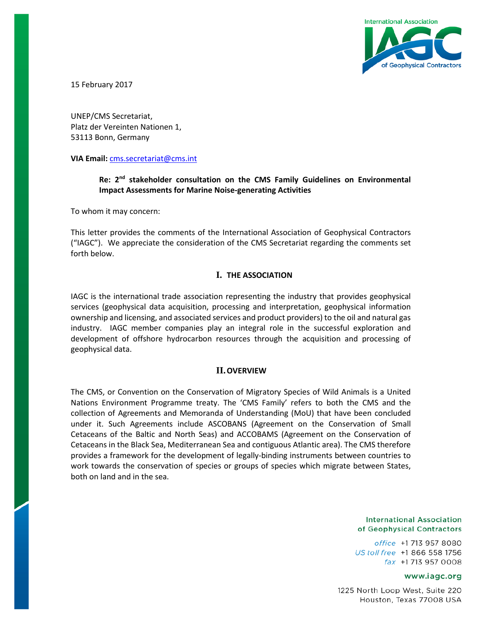

15 February 2017

UNEP/CMS Secretariat, Platz der Vereinten Nationen 1, 53113 Bonn, Germany

**VIA Email:** [cms.secretariat@cms.int](mailto:cms.secretariat@cms.int)

# **Re: 2nd stakeholder consultation on the CMS Family Guidelines on Environmental Impact Assessments for Marine Noise-generating Activities**

To whom it may concern:

This letter provides the comments of the International Association of Geophysical Contractors ("IAGC"). We appreciate the consideration of the CMS Secretariat regarding the comments set forth below.

### **I. THE ASSOCIATION**

IAGC is the international trade association representing the industry that provides geophysical services (geophysical data acquisition, processing and interpretation, geophysical information ownership and licensing, and associated services and product providers) to the oil and natural gas industry. IAGC member companies play an integral role in the successful exploration and development of offshore hydrocarbon resources through the acquisition and processing of geophysical data.

### **II.OVERVIEW**

The CMS, or Convention on the Conservation of Migratory Species of Wild Animals is a United Nations Environment Programme treaty. The 'CMS Family' refers to both the CMS and the collection of Agreements and Memoranda of Understanding (MoU) that have been concluded under it. Such Agreements include ASCOBANS (Agreement on the Conservation of Small Cetaceans of the Baltic and North Seas) and ACCOBAMS (Agreement on the Conservation of Cetaceans in the Black Sea, Mediterranean Sea and contiguous Atlantic area). The CMS therefore provides a framework for the development of legally-binding instruments between countries to work towards the conservation of species or groups of species which migrate between States, both on land and in the sea.

#### **International Association** of Geophysical Contractors

office +1 713 957 8080 US toll free +1 866 558 1756 fax +1 713 957 0008

### www.iagc.org

1225 North Loop West, Suite 220 Houston, Texas 77008 USA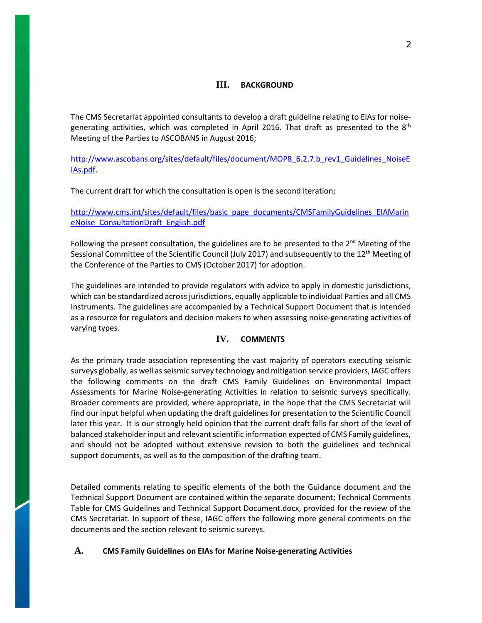### **III. BACKGROUND**

The CMS Secretariat appointed consultants to develop a draft guideline relating to EIAs for noisegenerating activities, which was completed in April 2016. That draft as presented to the  $8<sup>th</sup>$ Meeting of the Parties to ASCOBANS in August 2016;

[http://www.ascobans.org/sites/default/files/document/MOP8\\_6.2.7.b\\_rev1\\_Guidelines\\_NoiseE](http://www.ascobans.org/sites/default/files/document/MOP8_6.2.7.b_rev1_Guidelines_NoiseEIAs.pdf) [IAs.pdf.](http://www.ascobans.org/sites/default/files/document/MOP8_6.2.7.b_rev1_Guidelines_NoiseEIAs.pdf)

The current draft for which the consultation is open is the second iteration;

[http://www.cms.int/sites/default/files/basic\\_page\\_documents/CMSFamilyGuidelines\\_EIAMarin](http://www.cms.int/sites/default/files/basic_page_documents/CMSFamilyGuidelines_EIAMarineNoise_ConsultationDraft_English.pdf) [eNoise\\_ConsultationDraft\\_English.pdf](http://www.cms.int/sites/default/files/basic_page_documents/CMSFamilyGuidelines_EIAMarineNoise_ConsultationDraft_English.pdf)

Following the present consultation, the guidelines are to be presented to the  $2^{nd}$  Meeting of the Sessional Committee of the Scientific Council (July 2017) and subsequently to the 12<sup>th</sup> Meeting of the Conference of the Parties to CMS (October 2017) for adoption.

The guidelines are intended to provide regulators with advice to apply in domestic jurisdictions, which can be standardized across jurisdictions, equally applicable to individual Parties and all CMS Instruments. The guidelines are accompanied by a Technical Support Document that is intended as a resource for regulators and decision makers to when assessing noise-generating activities of varying types.

## **IV. COMMENTS**

As the primary trade association representing the vast majority of operators executing seismic surveys globally, as well as seismic survey technology and mitigation service providers, IAGC offers the following comments on the draft CMS Family Guidelines on Environmental Impact Assessments for Marine Noise-generating Activities in relation to seismic surveys specifically. Broader comments are provided, where appropriate, in the hope that the CMS Secretariat will find our input helpful when updating the draft guidelines for presentation to the Scientific Council later this year. It is our strongly held opinion that the current draft falls far short of the level of balanced stakeholder input and relevant scientific information expected of CMS Family guidelines, and should not be adopted without extensive revision to both the guidelines and technical support documents, as well as to the composition of the drafting team.

Detailed comments relating to specific elements of the both the Guidance document and the Technical Support Document are contained within the separate document; Technical Comments Table for CMS Guidelines and Technical Support Document.docx, provided for the review of the CMS Secretariat. In support of these, IAGC offers the following more general comments on the documents and the section relevant to seismic surveys.

### **A. CMS Family Guidelines on EIAs for Marine Noise-generating Activities**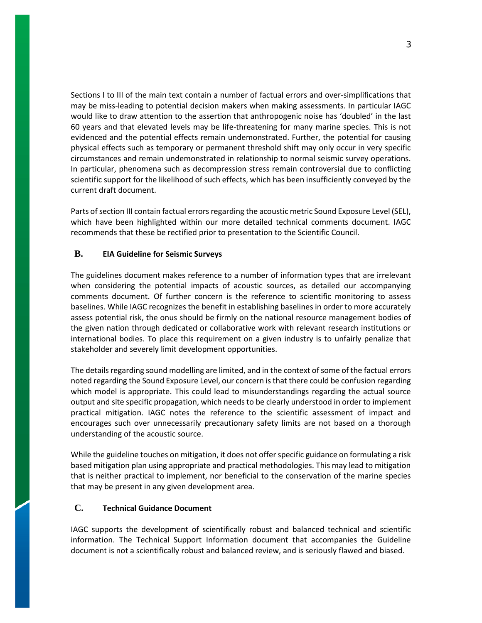Sections I to III of the main text contain a number of factual errors and over-simplifications that may be miss-leading to potential decision makers when making assessments. In particular IAGC would like to draw attention to the assertion that anthropogenic noise has 'doubled' in the last 60 years and that elevated levels may be life-threatening for many marine species. This is not evidenced and the potential effects remain undemonstrated. Further, the potential for causing physical effects such as temporary or permanent threshold shift may only occur in very specific circumstances and remain undemonstrated in relationship to normal seismic survey operations. In particular, phenomena such as decompression stress remain controversial due to conflicting scientific support for the likelihood of such effects, which has been insufficiently conveyed by the current draft document.

Parts of section III contain factual errors regarding the acoustic metric Sound Exposure Level (SEL), which have been highlighted within our more detailed technical comments document. IAGC recommends that these be rectified prior to presentation to the Scientific Council.

## **B. EIA Guideline for Seismic Surveys**

The guidelines document makes reference to a number of information types that are irrelevant when considering the potential impacts of acoustic sources, as detailed our accompanying comments document. Of further concern is the reference to scientific monitoring to assess baselines. While IAGC recognizes the benefit in establishing baselines in order to more accurately assess potential risk, the onus should be firmly on the national resource management bodies of the given nation through dedicated or collaborative work with relevant research institutions or international bodies. To place this requirement on a given industry is to unfairly penalize that stakeholder and severely limit development opportunities.

The details regarding sound modelling are limited, and in the context of some of the factual errors noted regarding the Sound Exposure Level, our concern is that there could be confusion regarding which model is appropriate. This could lead to misunderstandings regarding the actual source output and site specific propagation, which needs to be clearly understood in order to implement practical mitigation. IAGC notes the reference to the scientific assessment of impact and encourages such over unnecessarily precautionary safety limits are not based on a thorough understanding of the acoustic source.

While the guideline touches on mitigation, it does not offer specific guidance on formulating a risk based mitigation plan using appropriate and practical methodologies. This may lead to mitigation that is neither practical to implement, nor beneficial to the conservation of the marine species that may be present in any given development area.

## **C. Technical Guidance Document**

IAGC supports the development of scientifically robust and balanced technical and scientific information. The Technical Support Information document that accompanies the Guideline document is not a scientifically robust and balanced review, and is seriously flawed and biased.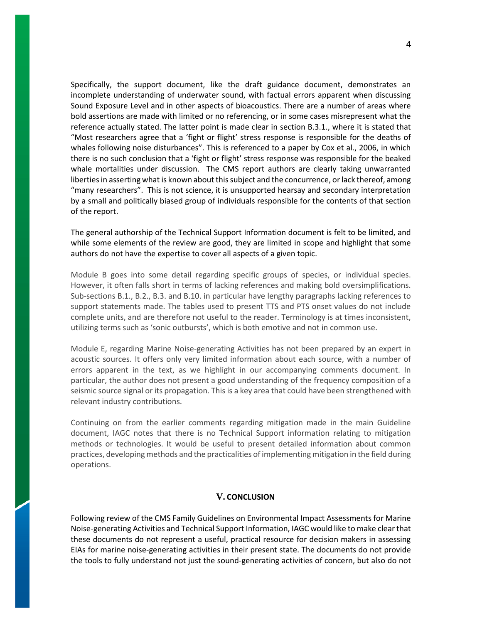Specifically, the support document, like the draft guidance document, demonstrates an incomplete understanding of underwater sound, with factual errors apparent when discussing Sound Exposure Level and in other aspects of bioacoustics. There are a number of areas where bold assertions are made with limited or no referencing, or in some cases misrepresent what the reference actually stated. The latter point is made clear in section B.3.1., where it is stated that "Most researchers agree that a 'fight or flight' stress response is responsible for the deaths of whales following noise disturbances". This is referenced to a paper by Cox et al., 2006, in which there is no such conclusion that a 'fight or flight' stress response was responsible for the beaked whale mortalities under discussion. The CMS report authors are clearly taking unwarranted liberties in asserting what is known about this subject and the concurrence, or lack thereof, among "many researchers". This is not science, it is unsupported hearsay and secondary interpretation by a small and politically biased group of individuals responsible for the contents of that section of the report.

The general authorship of the Technical Support Information document is felt to be limited, and while some elements of the review are good, they are limited in scope and highlight that some authors do not have the expertise to cover all aspects of a given topic.

Module B goes into some detail regarding specific groups of species, or individual species. However, it often falls short in terms of lacking references and making bold oversimplifications. Sub-sections B.1., B.2., B.3. and B.10. in particular have lengthy paragraphs lacking references to support statements made. The tables used to present TTS and PTS onset values do not include complete units, and are therefore not useful to the reader. Terminology is at times inconsistent, utilizing terms such as 'sonic outbursts', which is both emotive and not in common use.

Module E, regarding Marine Noise-generating Activities has not been prepared by an expert in acoustic sources. It offers only very limited information about each source, with a number of errors apparent in the text, as we highlight in our accompanying comments document. In particular, the author does not present a good understanding of the frequency composition of a seismic source signal or its propagation. This is a key area that could have been strengthened with relevant industry contributions.

Continuing on from the earlier comments regarding mitigation made in the main Guideline document, IAGC notes that there is no Technical Support information relating to mitigation methods or technologies. It would be useful to present detailed information about common practices, developing methods and the practicalities of implementing mitigation in the field during operations.

### **V. CONCLUSION**

Following review of the CMS Family Guidelines on Environmental Impact Assessments for Marine Noise-generating Activities and Technical Support Information, IAGC would like to make clear that these documents do not represent a useful, practical resource for decision makers in assessing EIAs for marine noise-generating activities in their present state. The documents do not provide the tools to fully understand not just the sound-generating activities of concern, but also do not